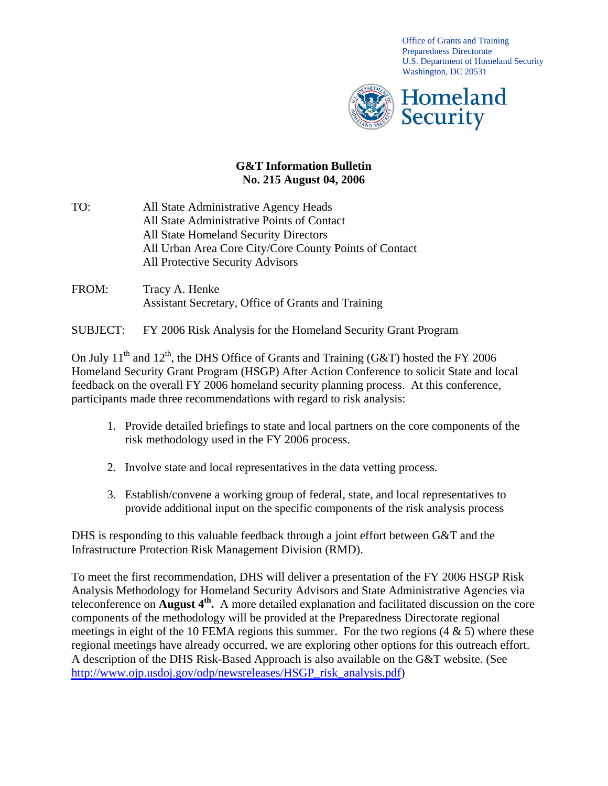Office of Grants and Training Preparedness Directorate U.S. Department of Homeland Security Washington, DC 20531



## **G&T Information Bulletin No. 215 August 04, 2006**

- TO: All State Administrative Agency Heads All State Administrative Points of Contact All State Homeland Security Directors All Urban Area Core City/Core County Points of Contact All Protective Security Advisors
- FROM: Tracy A. Henke Assistant Secretary, Office of Grants and Training

## SUBJECT: FY 2006 Risk Analysis for the Homeland Security Grant Program

On July 11<sup>th</sup> and 12<sup>th</sup>, the DHS Office of Grants and Training (G&T) hosted the FY 2006 Homeland Security Grant Program (HSGP) After Action Conference to solicit State and local feedback on the overall FY 2006 homeland security planning process. At this conference, participants made three recommendations with regard to risk analysis:

- 1. Provide detailed briefings to state and local partners on the core components of the risk methodology used in the FY 2006 process.
- 2. Involve state and local representatives in the data vetting process.
- 3. Establish/convene a working group of federal, state, and local representatives to provide additional input on the specific components of the risk analysis process

DHS is responding to this valuable feedback through a joint effort between G&T and the Infrastructure Protection Risk Management Division (RMD).

To meet the first recommendation, DHS will deliver a presentation of the FY 2006 HSGP Risk Analysis Methodology for Homeland Security Advisors and State Administrative Agencies via teleconference on **August 4th.** A more detailed explanation and facilitated discussion on the core components of the methodology will be provided at the Preparedness Directorate regional meetings in eight of the 10 FEMA regions this summer. For the two regions  $(4 \& 5)$  where these regional meetings have already occurred, we are exploring other options for this outreach effort. A description of the DHS Risk-Based Approach is also available on the G&T website. (See [http://www.ojp.usdoj.gov/odp/newsreleases/HSGP\\_risk\\_analysis.pdf](http://www.ojp.usdoj.gov/odp/newsreleases/HSGP_risk_analysis.pdf))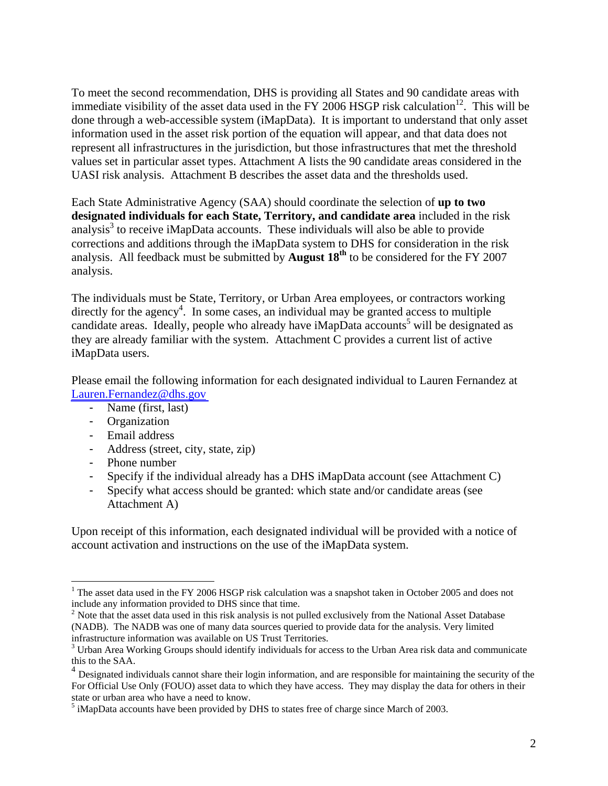To meet the second recommendation, DHS is providing all States and 90 candidate areas with immediate visibility of the asset data used in the FY 2006 HSGP risk calculation<sup>12</sup>. This will be done through a web-accessible system (iMapData). It is important to understand that only asset information used in the asset risk portion of the equation will appear, and that data does not represent all infrastructures in the jurisdiction, but those infrastructures that met the threshold values set in particular asset types. Attachment A lists the 90 candidate areas considered in the UASI risk analysis. Attachment B describes the asset data and the thresholds used.

Each State Administrative Agency (SAA) should coordinate the selection of **up to two designated individuals for each State, Territory, and candidate area** included in the risk analysis<sup>3</sup> to receive iMapData accounts. These individuals will also be able to provide corrections and additions through the iMapData system to DHS for consideration in the risk analysis. All feedback must be submitted by **August 18th** to be considered for the FY 2007 analysis.

The individuals must be State, Territory, or Urban Area employees, or contractors working directly for the agency<sup>4</sup>. In some cases, an individual may be granted access to multiple candidate areas. Ideally, people who already have iMapData accounts<sup>5</sup> will be designated as they are already familiar with the system. Attachment C provides a current list of active iMapData users.

Please email the following information for each designated individual to Lauren Fernandez at [Lauren.Fernandez@dhs.gov](mailto:Lauren.Fernandez@dhs.gov) 

- Name (first, last)
- Organization
- Email address
- Address (street, city, state, zip)
- Phone number

 $\overline{a}$ 

- Specify if the individual already has a DHS iMapData account (see Attachment C)
- Specify what access should be granted: which state and/or candidate areas (see Attachment A)

Upon receipt of this information, each designated individual will be provided with a notice of account activation and instructions on the use of the iMapData system.

<sup>&</sup>lt;sup>1</sup> The asset data used in the FY 2006 HSGP risk calculation was a snapshot taken in October 2005 and does not include any information provided to DHS since that time.<br><sup>2</sup> Note that the asset data used in this risk analysis is not pulled exclusively from the National Asset Database

<sup>(</sup>NADB). The NADB was one of many data sources queried to provide data for the analysis. Very limited infrastructure information was available on US Trust Territories. <sup>3</sup>

<sup>&</sup>lt;sup>3</sup> Urban Area Working Groups should identify individuals for access to the Urban Area risk data and communicate this to the SAA.

<sup>&</sup>lt;sup>4</sup> Designated individuals cannot share their login information, and are responsible for maintaining the security of the For Official Use Only (FOUO) asset data to which they have access. They may display the data for others in their state or urban area who have a need to know.

 $<sup>5</sup>$  iMapData accounts have been provided by DHS to states free of charge since March of 2003.</sup>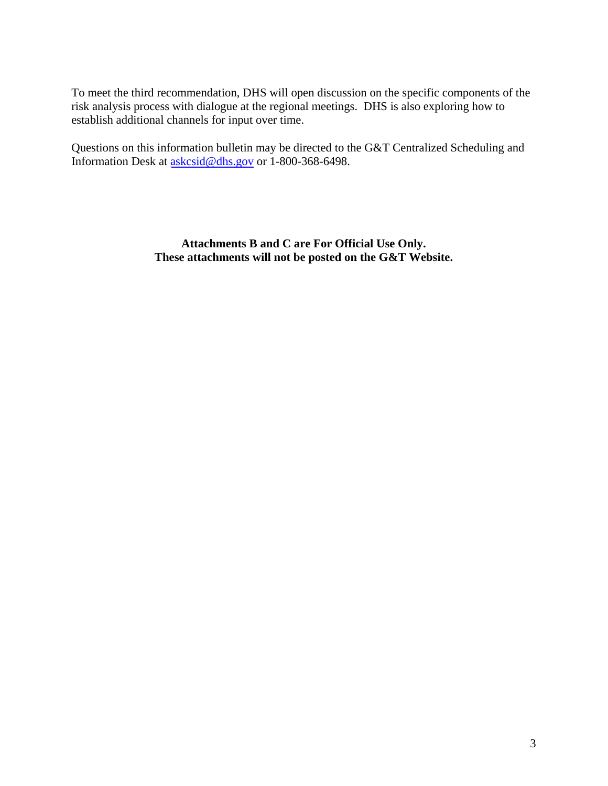To meet the third recommendation, DHS will open discussion on the specific components of the risk analysis process with dialogue at the regional meetings. DHS is also exploring how to establish additional channels for input over time.

Questions on this information bulletin may be directed to the G&T Centralized Scheduling and Information Desk at [askcsid@dhs.gov](mailto:askcsid@dhs.gov) or 1-800-368-6498.

> **Attachments B and C are For Official Use Only. These attachments will not be posted on the G&T Website.**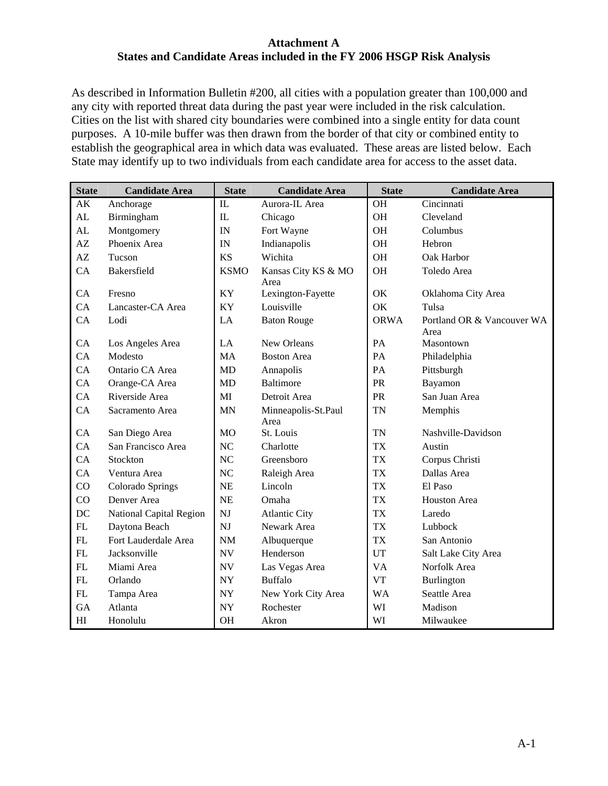#### **Attachment A States and Candidate Areas included in the FY 2006 HSGP Risk Analysis**

As described in Information Bulletin #200, all cities with a population greater than 100,000 and any city with reported threat data during the past year were included in the risk calculation. Cities on the list with shared city boundaries were combined into a single entity for data count purposes. A 10-mile buffer was then drawn from the border of that city or combined entity to establish the geographical area in which data was evaluated. These areas are listed below. Each State may identify up to two individuals from each candidate area for access to the asset data.

| <b>State</b>   | <b>Candidate Area</b>   | <b>State</b>             | <b>Candidate Area</b>       | <b>State</b> | <b>Candidate Area</b>              |
|----------------|-------------------------|--------------------------|-----------------------------|--------------|------------------------------------|
| AK             | Anchorage               | IL                       | Aurora-IL Area              | <b>OH</b>    | Cincinnati                         |
| AL             | Birmingham              | $\rm IL$                 | Chicago                     | <b>OH</b>    | Cleveland                          |
| AL             | Montgomery              | IN                       | Fort Wayne                  | OH           | Columbus                           |
| AZ             | Phoenix Area            | IN                       | Indianapolis                | OH           | Hebron                             |
| AZ             | Tucson                  | <b>KS</b>                | Wichita                     | <b>OH</b>    | Oak Harbor                         |
| CA             | Bakersfield             | <b>KSMO</b>              | Kansas City KS & MO<br>Area | OH           | Toledo Area                        |
| CA             | Fresno                  | KY                       | Lexington-Fayette           | OK           | Oklahoma City Area                 |
| CA             | Lancaster-CA Area       | KY                       | Louisville                  | OK           | Tulsa                              |
| CA             | Lodi                    | LA                       | <b>Baton Rouge</b>          | <b>ORWA</b>  | Portland OR & Vancouver WA<br>Area |
| <b>CA</b>      | Los Angeles Area        | LA                       | New Orleans                 | PA           | Masontown                          |
| CA             | Modesto                 | <b>MA</b>                | <b>Boston Area</b>          | PA           | Philadelphia                       |
| CA             | Ontario CA Area         | MD                       | Annapolis                   | PA           | Pittsburgh                         |
| CA             | Orange-CA Area          | MD                       | <b>Baltimore</b>            | PR           | Bayamon                            |
| CA             | Riverside Area          | MI                       | Detroit Area                | PR           | San Juan Area                      |
| CA             | Sacramento Area         | <b>MN</b>                | Minneapolis-St.Paul<br>Area | <b>TN</b>    | Memphis                            |
| CA             | San Diego Area          | <b>MO</b>                | St. Louis                   | <b>TN</b>    | Nashville-Davidson                 |
| CA             | San Francisco Area      | NC                       | Charlotte                   | <b>TX</b>    | Austin                             |
| CA             | Stockton                | <b>NC</b>                | Greensboro                  | <b>TX</b>    | Corpus Christi                     |
| CA             | Ventura Area            | NC                       | Raleigh Area                | <b>TX</b>    | Dallas Area                        |
| CO             | Colorado Springs        | <b>NE</b>                | Lincoln                     | <b>TX</b>    | El Paso                            |
| CO             | Denver Area             | <b>NE</b>                | Omaha                       | <b>TX</b>    | Houston Area                       |
| DC             | National Capital Region | NJ                       | <b>Atlantic City</b>        | <b>TX</b>    | Laredo                             |
| FL             | Daytona Beach           | <b>NJ</b>                | Newark Area                 | <b>TX</b>    | Lubbock                            |
| FL             | Fort Lauderdale Area    | NM                       | Albuquerque                 | <b>TX</b>    | San Antonio                        |
| FL             | Jacksonville            | <b>NV</b>                | Henderson                   | UT           | Salt Lake City Area                |
| <b>FL</b>      | Miami Area              | <b>NV</b>                | Las Vegas Area              | <b>VA</b>    | Norfolk Area                       |
| FL             | Orlando                 | <b>NY</b>                | <b>Buffalo</b>              | <b>VT</b>    | Burlington                         |
| FL             | Tampa Area              | $\ensuremath{\text{NY}}$ | New York City Area          | <b>WA</b>    | Seattle Area                       |
| GA             | Atlanta                 | <b>NY</b>                | Rochester                   | WI           | Madison                            |
| H <sub>I</sub> | Honolulu                | OH                       | Akron                       | WI           | Milwaukee                          |